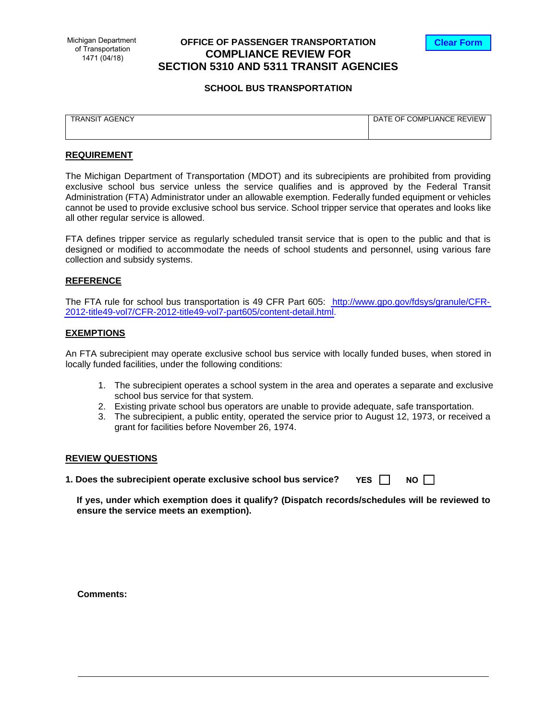# **OFFICE OF PASSENGER TRANSPORTATION COMPLIANCE REVIEW FOR SECTION 5310 AND 5311 TRANSIT AGENCIES**



## **SCHOOL BUS TRANSPORTATION**

| . AGENCY<br>ANSI          | $\cdots$<br>OF<br>DE.<br>-<br>٦Δ<br>LIANC <sup>1</sup><br>OMPL<br>$\vdash$ |
|---------------------------|----------------------------------------------------------------------------|
| $\mathbf{a}$<br>_________ | JE REVIEW<br>___<br>$\sim$ $\sim$<br>$\sim$                                |
|                           |                                                                            |
|                           |                                                                            |
|                           |                                                                            |

# **REQUIREMENT**

The Michigan Department of Transportation (MDOT) and its subrecipients are prohibited from providing exclusive school bus service unless the service qualifies and is approved by the Federal Transit Administration (FTA) Administrator under an allowable exemption. Federally funded equipment or vehicles cannot be used to provide exclusive school bus service. School tripper service that operates and looks like all other regular service is allowed.

FTA defines tripper service as regularly scheduled transit service that is open to the public and that is designed or modified to accommodate the needs of school students and personnel, using various fare collection and subsidy systems.

#### **REFERENCE**

The FTA rule for school bus transportation is 49 CFR Part 605: [http://www.gpo.gov/fdsys/granule/CFR-](http://www.gpo.gov/fdsys/granule/CFR-2012-title49-vol7/CFR-2012-title49-vol7-part605/content-detail.html)[2012-title49-vol7/CFR-2012-title49-vol7-part605/content-detail.html.](http://www.gpo.gov/fdsys/granule/CFR-2012-title49-vol7/CFR-2012-title49-vol7-part605/content-detail.html)

## **EXEMPTIONS**

An FTA subrecipient may operate exclusive school bus service with locally funded buses, when stored in locally funded facilities, under the following conditions:

- 1. The subrecipient operates a school system in the area and operates a separate and exclusive school bus service for that system.
- 2. Existing private school bus operators are unable to provide adequate, safe transportation.
- 3. The subrecipient, a public entity, operated the service prior to August 12, 1973, or received a grant for facilities before November 26, 1974.

#### **REVIEW QUESTIONS**

**1. Does the subrecipient operate exclusive school bus service? YES NO**

| ır |  |
|----|--|
|    |  |

**If yes, under which exemption does it qualify? (Dispatch records/schedules will be reviewed to ensure the service meets an exemption).**

**Comments:**